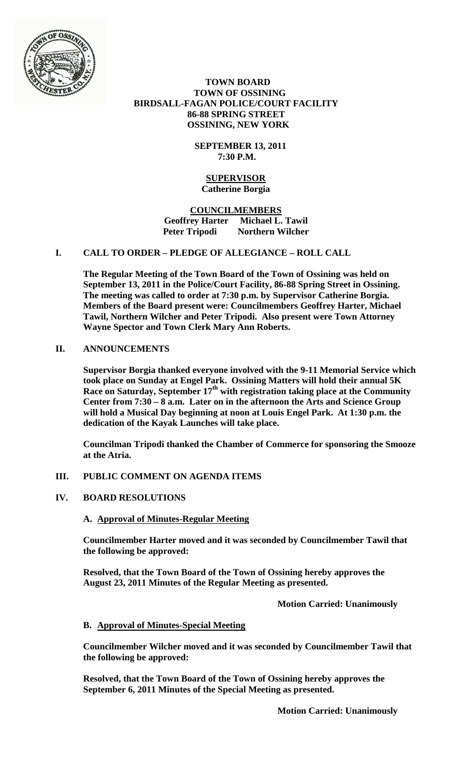

 **TOWN BOARD TOWN OF OSSINING BIRDSALL-FAGAN POLICE/COURT FACILITY 86-88 SPRING STREET OSSINING, NEW YORK**

> **SEPTEMBER 13, 2011 7:30 P.M.**

#### **SUPERVISOR Catherine Borgia**

**COUNCILMEMBERS Geoffrey Harter Michael L. Tawil Northern Wilcher** 

# **I. CALL TO ORDER – PLEDGE OF ALLEGIANCE – ROLL CALL**

**The Regular Meeting of the Town Board of the Town of Ossining was held on September 13, 2011 in the Police/Court Facility, 86-88 Spring Street in Ossining. The meeting was called to order at 7:30 p.m. by Supervisor Catherine Borgia. Members of the Board present were: Councilmembers Geoffrey Harter, Michael Tawil, Northern Wilcher and Peter Tripodi. Also present were Town Attorney Wayne Spector and Town Clerk Mary Ann Roberts.**

## **II. ANNOUNCEMENTS**

**Supervisor Borgia thanked everyone involved with the 9-11 Memorial Service which took place on Sunday at Engel Park. Ossining Matters will hold their annual 5K**  Race on Saturday, September 17<sup>th</sup> with registration taking place at the Community **Center from 7:30 – 8 a.m. Later on in the afternoon the Arts and Science Group will hold a Musical Day beginning at noon at Louis Engel Park. At 1:30 p.m. the dedication of the Kayak Launches will take place.**

**Councilman Tripodi thanked the Chamber of Commerce for sponsoring the Smooze at the Atria.**

# **III. PUBLIC COMMENT ON AGENDA ITEMS**

## **IV. BOARD RESOLUTIONS**

## **A. Approval of Minutes-Regular Meeting**

**Councilmember Harter moved and it was seconded by Councilmember Tawil that the following be approved:**

**Resolved, that the Town Board of the Town of Ossining hereby approves the August 23, 2011 Minutes of the Regular Meeting as presented.**

**Motion Carried: Unanimously**

#### **B. Approval of Minutes-Special Meeting**

**Councilmember Wilcher moved and it was seconded by Councilmember Tawil that the following be approved:**

**Resolved, that the Town Board of the Town of Ossining hereby approves the September 6, 2011 Minutes of the Special Meeting as presented.**

**Motion Carried: Unanimously**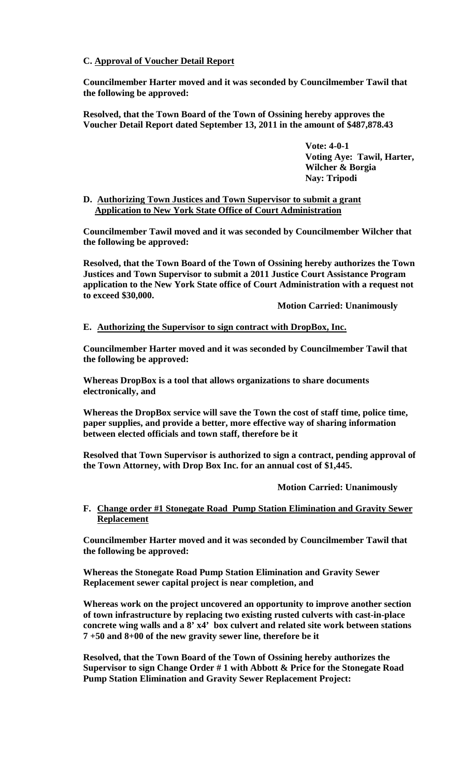# **C. Approval of Voucher Detail Report**

**Councilmember Harter moved and it was seconded by Councilmember Tawil that the following be approved:**

**Resolved, that the Town Board of the Town of Ossining hereby approves the Voucher Detail Report dated September 13, 2011 in the amount of \$487,878.43**

> **Vote: 4-0-1 Voting Aye: Tawil, Harter, Wilcher & Borgia Nay: Tripodi**

### **D. Authorizing Town Justices and Town Supervisor to submit a grant Application to New York State Office of Court Administration**

**Councilmember Tawil moved and it was seconded by Councilmember Wilcher that the following be approved:**

**Resolved, that the Town Board of the Town of Ossining hereby authorizes the Town Justices and Town Supervisor to submit a 2011 Justice Court Assistance Program application to the New York State office of Court Administration with a request not to exceed \$30,000.**

**Motion Carried: Unanimously**

## **E. Authorizing the Supervisor to sign contract with DropBox, Inc.**

**Councilmember Harter moved and it was seconded by Councilmember Tawil that the following be approved:**

**Whereas DropBox is a tool that allows organizations to share documents electronically, and**

**Whereas the DropBox service will save the Town the cost of staff time, police time, paper supplies, and provide a better, more effective way of sharing information between elected officials and town staff, therefore be it**

**Resolved that Town Supervisor is authorized to sign a contract, pending approval of the Town Attorney, with Drop Box Inc. for an annual cost of \$1,445.** 

## **Motion Carried: Unanimously**

## **F. Change order #1 Stonegate Road Pump Station Elimination and Gravity Sewer Replacement**

**Councilmember Harter moved and it was seconded by Councilmember Tawil that the following be approved:**

**Whereas the Stonegate Road Pump Station Elimination and Gravity Sewer Replacement sewer capital project is near completion, and** 

**Whereas work on the project uncovered an opportunity to improve another section of town infrastructure by replacing two existing rusted culverts with cast-in-place concrete wing walls and a 8' x4' box culvert and related site work between stations 7 +50 and 8+00 of the new gravity sewer line, therefore be it**

**Resolved, that the Town Board of the Town of Ossining hereby authorizes the Supervisor to sign Change Order # 1 with Abbott & Price for the Stonegate Road Pump Station Elimination and Gravity Sewer Replacement Project:**